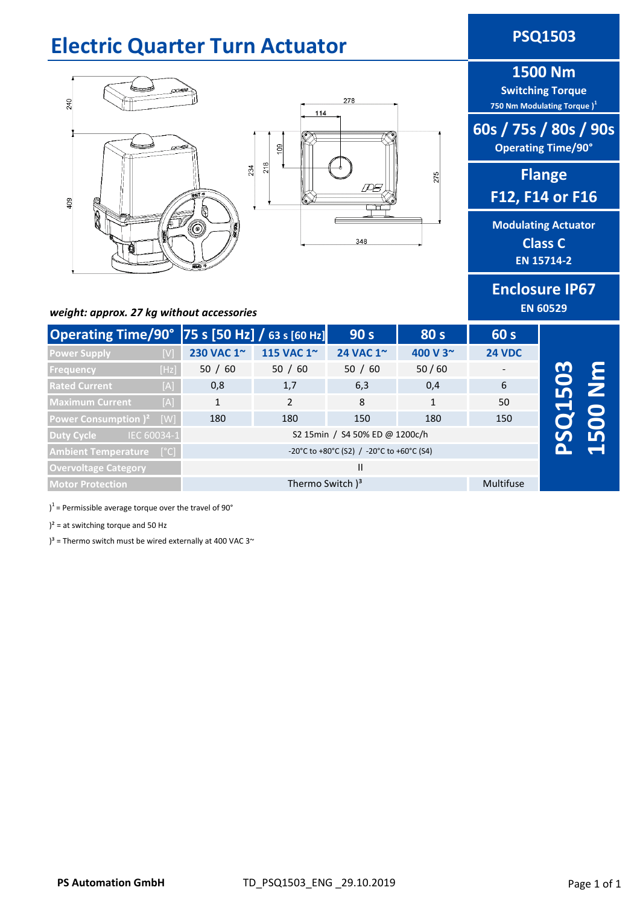# **Electric Quarter Turn Actuator <b>PSQ1503**





# **1500 Nm**

**Switching Torque 750 Nm Modulating Torque )<sup>1</sup>**

# **60s / 75s / 80s / 90s Operating Time/90°**

**Flange F12, F14 or F16**

**Modulating Actuator Class C EN 15714-2**

**Enclosure IP67 EN 60529**

### *weight: approx. 27 kg without accessories*

| Operating Time/90° 75 s [50 Hz] / 63 s [60 Hz] |      |              |                                | 90 <sub>s</sub>  | 80 s        | 60 s          |   |  |
|------------------------------------------------|------|--------------|--------------------------------|------------------|-------------|---------------|---|--|
| <b>Power Supply</b>                            |      | 230 VAC 1~   | 115 VAC 1~                     | 24 VAC 1~        | 400 V 3~    | <b>24 VDC</b> |   |  |
| <b>Frequency</b>                               | [Hz] | 50 / 60      | 50 / 60                        | 50 / 60          | 50/60       |               | M |  |
| <b>Rated Current</b>                           | [A]  | 0,8          | 1,7                            | 6,3              | 0,4         | 6             |   |  |
| <b>Maximum Current</b>                         | [A]  | 1            | 2                              | 8                | $\mathbf 1$ | 50            |   |  |
| Power Consumption ) <sup>2</sup>               | [W]  | 180          | 180                            | 150              | 180         | 150           |   |  |
| IEC 60034-1<br>Duty Cycle                      |      |              | S2 15min / S4 50% ED @ 1200c/h |                  |             |               |   |  |
| <b>Ambient Temperature [°C]</b>                |      |              |                                |                  |             |               |   |  |
| <b>Overvoltage Category</b>                    |      | $\mathbf{H}$ |                                |                  |             |               |   |  |
| <b>Motor Protection</b>                        |      |              | Thermo Switch $)^3$            | <b>Multifuse</b> |             |               |   |  |

#### )<sup>1</sup> = Permissible average torque over the travel of 90°

 $)^2$  = at switching torque and 50 Hz

 $3^3$  = Thermo switch must be wired externally at 400 VAC 3 $\sim$